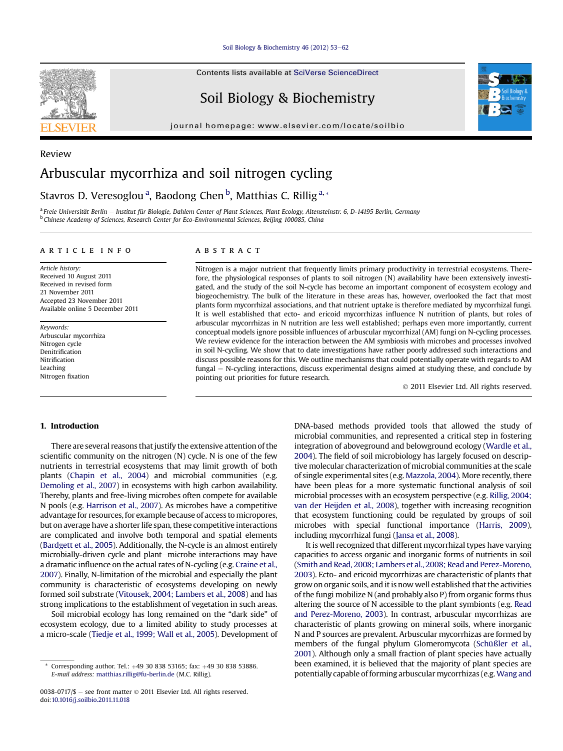[Soil Biology & Biochemistry 46 \(2012\) 53](http://dx.doi.org/10.1016/j.soilbio.2011.11.018)-[62](http://dx.doi.org/10.1016/j.soilbio.2011.11.018)

Contents lists available at SciVerse ScienceDirect

# Soil Biology & Biochemistry

journal homepage: [www.elsevier.com/locate/soilbio](http://www.elsevier.com/locate/soilbio)



## Review Arbuscular mycorrhiza and soil nitrogen cycling

## Stavros D. Veresoglou<sup>a</sup>, Baodong Chen <sup>b</sup>, Matthias C. Rillig<sup>a,</sup>\*

a Freie Universität Berlin - Institut für Biologie, Dahlem Center of Plant Sciences, Plant Ecology, Altensteinstr. 6, D-14195 Berlin, Germany <sup>b</sup> Chinese Academy of Sciences, Research Center for Eco-Environmental Sciences, Beijing 100085, China

#### article info

Article history: Received 10 August 2011 Received in revised form 21 November 2011 Accepted 23 November 2011 Available online 5 December 2011

Keywords: Arbuscular mycorrhiza Nitrogen cycle Denitrification Nitrification Leaching Nitrogen fixation

## ABSTRACT

Nitrogen is a major nutrient that frequently limits primary productivity in terrestrial ecosystems. Therefore, the physiological responses of plants to soil nitrogen (N) availability have been extensively investigated, and the study of the soil N-cycle has become an important component of ecosystem ecology and biogeochemistry. The bulk of the literature in these areas has, however, overlooked the fact that most plants form mycorrhizal associations, and that nutrient uptake is therefore mediated by mycorrhizal fungi. It is well established that ecto- and ericoid mycorrhizas influence N nutrition of plants, but roles of arbuscular mycorrhizas in N nutrition are less well established; perhaps even more importantly, current conceptual models ignore possible influences of arbuscular mycorrhizal (AM) fungi on N-cycling processes. We review evidence for the interaction between the AM symbiosis with microbes and processes involved in soil N-cycling. We show that to date investigations have rather poorly addressed such interactions and discuss possible reasons for this. We outline mechanisms that could potentially operate with regards to AM fungal – N-cycling interactions, discuss experimental designs aimed at studying these, and conclude by pointing out priorities for future research.

2011 Elsevier Ltd. All rights reserved.

## 1. Introduction

There are several reasons that justify the extensive attention of the scientific community on the nitrogen (N) cycle. N is one of the few nutrients in terrestrial ecosystems that may limit growth of both plants [\(Chapin et al., 2004](#page-7-0)) and microbial communities (e.g. [Demoling et al., 2007](#page-7-0)) in ecosystems with high carbon availability. Thereby, plants and free-living microbes often compete for available N pools (e.g. [Harrison et al., 2007](#page-8-0)). As microbes have a competitive advantage for resources, for example because of access to micropores, but on average have a shorter life span, these competitive interactions are complicated and involve both temporal and spatial elements [\(Bardgett et al., 2005](#page-7-0)). Additionally, the N-cycle is an almost entirely microbially-driven cycle and plant-microbe interactions may have a dramatic influence on the actual rates of N-cycling (e.g. [Craine et al.,](#page-7-0) [2007](#page-7-0)). Finally, N-limitation of the microbial and especially the plant community is characteristic of ecosystems developing on newly formed soil substrate ([Vitousek, 2004; Lambers et al., 2008\)](#page-9-0) and has strong implications to the establishment of vegetation in such areas.

Soil microbial ecology has long remained on the "dark side" of ecosystem ecology, due to a limited ability to study processes at a micro-scale [\(Tiedje et al., 1999; Wall et al., 2005\)](#page-9-0). Development of

DNA-based methods provided tools that allowed the study of microbial communities, and represented a critical step in fostering integration of aboveground and belowground ecology [\(Wardle et al.,](#page-9-0) [2004\)](#page-9-0). The field of soil microbiology has largely focused on descriptive molecular characterization of microbial communities at the scale of single experimental sites (e.g. [Mazzola, 2004](#page-8-0)). More recently, there have been pleas for a more systematic functional analysis of soil microbial processes with an ecosystem perspective (e.g. [Rillig, 2004;](#page-9-0) [van der Heijden et al., 2008](#page-9-0)), together with increasing recognition that ecosystem functioning could be regulated by groups of soil microbes with special functional importance [\(Harris, 2009\)](#page-8-0), including mycorrhizal fungi [\(Jansa et al., 2008\)](#page-8-0).

It is well recognized that different mycorrhizal types have varying capacities to access organic and inorganic forms of nutrients in soil [\(Smith and Read, 2008; Lambers et al., 2008; Read and Perez-Moreno,](#page-9-0) [2003](#page-9-0)). Ecto- and ericoid mycorrhizas are characteristic of plants that grow on organic soils, and it is now well established that the activities of the fungi mobilize N (and probably also P) from organic forms thus altering the source of N accessible to the plant symbionts (e.g. [Read](#page-8-0) [and Perez-Moreno, 2003\)](#page-8-0). In contrast, arbuscular mycorrhizas are characteristic of plants growing on mineral soils, where inorganic N and P sources are prevalent. Arbuscular mycorrhizas are formed by members of the fungal phylum Glomeromycota [\(Schüßler et al.,](#page-9-0) [2001](#page-9-0)). Although only a small fraction of plant species have actually been examined, it is believed that the majority of plant species are potentially capable of forming arbuscular mycorrhizas (e.g.[Wang and](#page-9-0)



Corresponding author. Tel.:  $+49$  30 838 53165; fax:  $+49$  30 838 53886. E-mail address: [matthias.rillig@fu-berlin.de](mailto:matthias.rillig@fu-berlin.de) (M.C. Rillig).

<sup>0038-0717/\$</sup>  $-$  see front matter  $\odot$  2011 Elsevier Ltd. All rights reserved. doi[:10.1016/j.soilbio.2011.11.018](http://dx.doi.org/10.1016/j.soilbio.2011.11.018)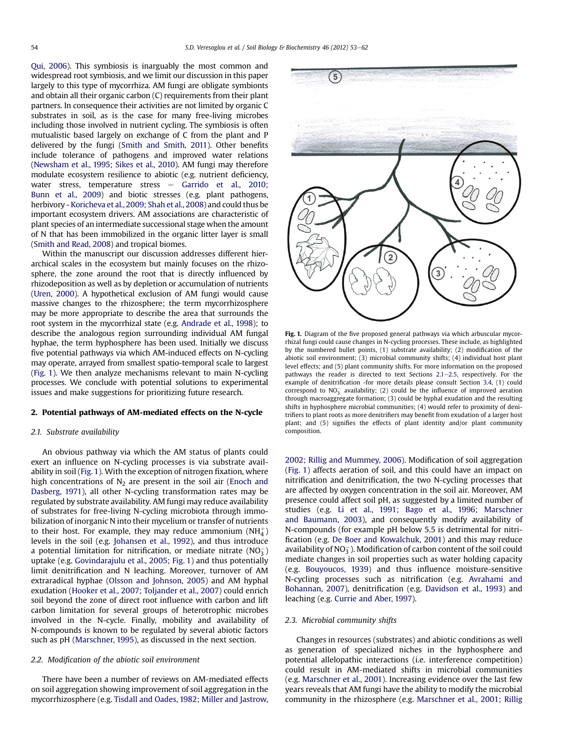<span id="page-1-0"></span>[Qui, 2006\)](#page-9-0). This symbiosis is inarguably the most common and widespread root symbiosis, and we limit our discussion in this paper largely to this type of mycorrhiza. AM fungi are obligate symbionts and obtain all their organic carbon (C) requirements from their plant partners. In consequence their activities are not limited by organic C substrates in soil, as is the case for many free-living microbes including those involved in nutrient cycling. The symbiosis is often mutualistic based largely on exchange of C from the plant and P delivered by the fungi ([Smith and Smith, 2011](#page-9-0)). Other benefits include tolerance of pathogens and improved water relations ([Newsham et al., 1995; Sikes et al., 2010](#page-8-0)). AM fungi may therefore modulate ecosystem resilience to abiotic (e.g. nutrient deficiency, water stress, temperature stress  $-$  [Garrido et al., 2010;](#page-7-0) [Bunn et al., 2009\)](#page-7-0) and biotic stresses (e.g. plant pathogens, herbivory - [Koricheva et al., 2009; Shah et al., 2008](#page-8-0)) and could thus be important ecosystem drivers. AM associations are characteristic of plant species of an intermediate successional stage when the amount of N that has been immobilized in the organic litter layer is small ([Smith and Read, 2008](#page-9-0)) and tropical biomes.

Within the manuscript our discussion addresses different hierarchical scales in the ecosystem but mainly focuses on the rhizosphere, the zone around the root that is directly influenced by rhizodeposition as well as by depletion or accumulation of nutrients ([Uren, 2000\)](#page-9-0). A hypothetical exclusion of AM fungi would cause massive changes to the rhizosphere; the term mycorrhizosphere may be more appropriate to describe the area that surrounds the root system in the mycorrhizal state (e.g. [Andrade et al., 1998\)](#page-7-0); to describe the analogous region surrounding individual AM fungal hyphae, the term hyphosphere has been used. Initially we discuss five potential pathways via which AM-induced effects on N-cycling may operate, arrayed from smallest spatio-temporal scale to largest (Fig. 1). We then analyze mechanisms relevant to main N-cycling processes. We conclude with potential solutions to experimental issues and make suggestions for prioritizing future research.

#### 2. Potential pathways of AM-mediated effects on the N-cycle

#### 2.1. Substrate availability

An obvious pathway via which the AM status of plants could exert an influence on N-cycling processes is via substrate availability in soil (Fig. 1). With the exception of nitrogen fixation, where high concentrations of  $N_2$  are present in the soil air [\(Enoch and](#page-7-0) [Dasberg, 1971\)](#page-7-0), all other N-cycling transformation rates may be regulated by substrate availability. AM fungi may reduce availability of substrates for free-living N-cycling microbiota through immobilization of inorganic N into their mycelium or transfer of nutrients to their host. For example, they may reduce ammonium  $\mathsf{(NH_4^+)}$ levels in the soil (e.g. [Johansen et al., 1992](#page-8-0)), and thus introduce a potential limitation for nitrification, or mediate nitrate  $(NO<sub>3</sub><sup>-</sup>)$ uptake (e.g. [Govindarajulu et al., 2005](#page-7-0); Fig. 1) and thus potentially limit denitrification and N leaching. Moreover, turnover of AM extraradical hyphae [\(Olsson and Johnson, 2005](#page-8-0)) and AM hyphal exudation ([Hooker et al., 2007; Toljander et al., 2007\)](#page-8-0) could enrich soil beyond the zone of direct root influence with carbon and lift carbon limitation for several groups of heterotrophic microbes involved in the N-cycle. Finally, mobility and availability of N-compounds is known to be regulated by several abiotic factors such as pH ([Marschner, 1995\)](#page-8-0), as discussed in the next section.

#### 2.2. Modification of the abiotic soil environment

There have been a number of reviews on AM-mediated effects on soil aggregation showing improvement of soil aggregation in the mycorrhizosphere (e.g. [Tisdall and Oades, 1982; Miller and Jastrow,](#page-9-0)



Fig. 1. Diagram of the five proposed general pathways via which arbuscular mycorrhizal fungi could cause changes in N-cycling processes. These include, as highlighted by the numbered bullet points, (1) substrate availability; (2) modification of the abiotic soil environment; (3) microbial community shifts; (4) individual host plant level effects; and (5) plant community shifts. For more information on the proposed pathways the reader is directed to text Sections  $2.1-2.5$ , respectively. For the example of denitrification -for more details please consult Section [3.4](#page-4-0), (1) could correspond to  $NO_3^-$  availability; (2) could be the influence of improved aeration through macroaggregate formation; (3) could be hyphal exudation and the resulting shifts in hyphosphere microbial communities; (4) would refer to proximity of denitrifiers to plant roots as more denitrifiers may benefit from exudation of a larger host plant; and (5) signifies the effects of plant identity and/or plant community composition.

[2002; Rillig and Mummey, 2006\)](#page-9-0). Modification of soil aggregation (Fig. 1) affects aeration of soil, and this could have an impact on nitrification and denitrification, the two N-cycling processes that are affected by oxygen concentration in the soil air. Moreover, AM presence could affect soil pH, as suggested by a limited number of studies (e.g. [Li et al., 1991; Bago et al., 1996; Marschner](#page-8-0) [and Baumann, 2003](#page-8-0)), and consequently modify availability of N-compounds (for example pH below 5.5 is detrimental for nitrification (e.g. [De Boer and Kowalchuk, 2001\)](#page-7-0) and this may reduce availability of  $NO_3^-$  ). Modification of carbon content of the soil could mediate changes in soil properties such as water holding capacity (e.g. [Bouyoucos, 1939\)](#page-7-0) and thus influence moisture-sensitive N-cycling processes such as nitrification (e.g. [Avrahami and](#page-7-0) [Bohannan, 2007\)](#page-7-0), denitrification (e.g. [Davidson et al., 1993\)](#page-7-0) and leaching (e.g. [Currie and Aber, 1997\)](#page-7-0).

#### 2.3. Microbial community shifts

Changes in resources (substrates) and abiotic conditions as well as generation of specialized niches in the hyphosphere and potential allelopathic interactions (i.e. interference competition) could result in AM-mediated shifts in microbial communities (e.g. [Marschner et al., 2001\)](#page-8-0). Increasing evidence over the last few years reveals that AM fungi have the ability to modify the microbial community in the rhizosphere (e.g. [Marschner et al., 2001; Rillig](#page-8-0)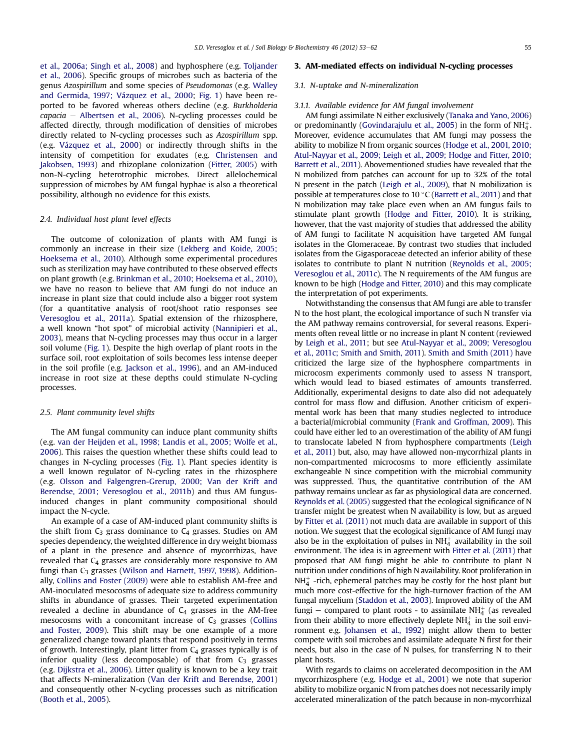<span id="page-2-0"></span>[et al., 2006a; Singh et al., 2008\)](#page-8-0) and hyphosphere (e.g. [Toljander](#page-9-0) [et al., 2006](#page-9-0)). Specific groups of microbes such as bacteria of the genus Azospirillum and some species of Pseudomonas (e.g. [Walley](#page-9-0) [and Germida, 1997; Vázquez et al., 2000](#page-9-0); [Fig. 1\)](#page-1-0) have been reported to be favored whereas others decline (e.g. Burkholderia  $capacia -$  [Albertsen et al., 2006](#page-7-0)). N-cycling processes could be affected directly, through modification of densities of microbes directly related to N-cycling processes such as Azospirillum spp. (e.g. [Vázquez et al., 2000\)](#page-9-0) or indirectly through shifts in the intensity of competition for exudates (e.g. [Christensen and](#page-7-0) [Jakobsen, 1993](#page-7-0)) and rhizoplane colonization ([Fitter, 2005\)](#page-7-0) with non-N-cycling heterotrophic microbes. Direct allelochemical suppression of microbes by AM fungal hyphae is also a theoretical possibility, although no evidence for this exists.

#### 2.4. Individual host plant level effects

The outcome of colonization of plants with AM fungi is commonly an increase in their size [\(Lekberg and Koide, 2005;](#page-8-0) [Hoeksema et al., 2010\)](#page-8-0). Although some experimental procedures such as sterilization may have contributed to these observed effects on plant growth (e.g. [Brinkman et al., 2010; Hoeksema et al., 2010\)](#page-7-0), we have no reason to believe that AM fungi do not induce an increase in plant size that could include also a bigger root system (for a quantitative analysis of root/shoot ratio responses see [Veresoglou et al., 2011a\)](#page-9-0). Spatial extension of the rhizosphere, a well known "hot spot" of microbial activity [\(Nannipieri et al.,](#page-8-0) [2003\)](#page-8-0), means that N-cycling processes may thus occur in a larger soil volume [\(Fig. 1](#page-1-0)). Despite the high overlap of plant roots in the surface soil, root exploitation of soils becomes less intense deeper in the soil profile (e.g. [Jackson et al., 1996\)](#page-8-0), and an AM-induced increase in root size at these depths could stimulate N-cycling processes.

#### 2.5. Plant community level shifts

The AM fungal community can induce plant community shifts (e.g. [van der Heijden et al., 1998; Landis et al., 2005; Wolfe et al.,](#page-9-0) [2006\)](#page-9-0). This raises the question whether these shifts could lead to changes in N-cycling processes ([Fig. 1](#page-1-0)). Plant species identity is a well known regulator of N-cycling rates in the rhizosphere (e.g. [Olsson and Falgengren-Grerup, 2000; Van der Krift and](#page-8-0) [Berendse, 2001; Veresoglou et al., 2011b](#page-8-0)) and thus AM fungusinduced changes in plant community compositional should impact the N-cycle.

An example of a case of AM-induced plant community shifts is the shift from  $C_3$  grass dominance to  $C_4$  grasses. Studies on AM species dependency, the weighted difference in dry weight biomass of a plant in the presence and absence of mycorrhizas, have revealed that C<sub>4</sub> grasses are considerably more responsive to AM fungi than C<sub>3</sub> grasses ([Wilson and Harnett, 1997, 1998\)](#page-9-0). Additionally, [Collins and Foster \(2009\)](#page-7-0) were able to establish AM-free and AM-inoculated mesocosms of adequate size to address community shifts in abundance of grasses. Their targeted experimentation revealed a decline in abundance of  $C_4$  grasses in the AM-free mesocosms with a concomitant increase of  $C_3$  grasses [\(Collins](#page-7-0) [and Foster, 2009\)](#page-7-0). This shift may be one example of a more generalized change toward plants that respond positively in terms of growth. Interestingly, plant litter from  $C_4$  grasses typically is of inferior quality (less decomposable) of that from  $C_3$  grasses (e.g. [Dijkstra et al., 2006](#page-7-0)). Litter quality is known to be a key trait that affects N-mineralization ([Van der Krift and Berendse, 2001\)](#page-9-0) and consequently other N-cycling processes such as nitrification ([Booth et al., 2005](#page-7-0)).

#### 3. AM-mediated effects on individual N-cycling processes

#### 3.1. N-uptake and N-mineralization

### 3.1.1. Available evidence for AM fungal involvement

AM fungi assimilate N either exclusively [\(Tanaka and Yano, 2006\)](#page-9-0) or predominantly [\(Govindarajulu et al., 2005\)](#page-7-0) in the form of NH $_4^+$ . Moreover, evidence accumulates that AM fungi may possess the ability to mobilize N from organic sources ([Hodge et al., 2001, 2010;](#page-8-0) [Atul-Nayyar et al., 2009; Leigh et al., 2009; Hodge and Fitter, 2010;](#page-8-0) [Barrett et al., 2011\)](#page-8-0). Abovementioned studies have revealed that the N mobilized from patches can account for up to 32% of the total N present in the patch [\(Leigh et al., 2009](#page-8-0)), that N mobilization is possible at temperatures close to 10 $\degree$ C ([Barrett et al., 2011](#page-7-0)) and that N mobilization may take place even when an AM fungus fails to stimulate plant growth [\(Hodge and Fitter, 2010\)](#page-8-0). It is striking, however, that the vast majority of studies that addressed the ability of AM fungi to facilitate N acquisition have targeted AM fungal isolates in the Glomeraceae. By contrast two studies that included isolates from the Gigasporaceae detected an inferior ability of these isolates to contribute to plant N nutrition [\(Reynolds et al., 2005;](#page-8-0) [Veresoglou et al., 2011c](#page-8-0)). The N requirements of the AM fungus are known to be high ([Hodge and Fitter, 2010](#page-8-0)) and this may complicate the interpretation of pot experiments.

Notwithstanding the consensus that AM fungi are able to transfer N to the host plant, the ecological importance of such N transfer via the AM pathway remains controversial, for several reasons. Experiments often reveal little or no increase in plant N content (reviewed by [Leigh et al., 2011](#page-8-0); but see [Atul-Nayyar et al., 2009; Veresoglou](#page-7-0) [et al., 2011c; Smith and Smith, 2011\)](#page-7-0). [Smith and Smith \(2011\)](#page-9-0) have criticized the large size of the hyphosphere compartments in microcosm experiments commonly used to assess N transport, which would lead to biased estimates of amounts transferred. Additionally, experimental designs to date also did not adequately control for mass flow and diffusion. Another criticism of experimental work has been that many studies neglected to introduce a bacterial/microbial community ([Frank and Groffman, 2009](#page-7-0)). This could have either led to an overestimation of the ability of AM fungi to translocate labeled N from hyphosphere compartments ([Leigh](#page-8-0) [et al., 2011\)](#page-8-0) but, also, may have allowed non-mycorrhizal plants in non-compartmented microcosms to more efficiently assimilate exchangeable N since competition with the microbial community was suppressed. Thus, the quantitative contribution of the AM pathway remains unclear as far as physiological data are concerned. [Reynolds et al. \(2005\)](#page-8-0) suggested that the ecological significance of N transfer might be greatest when N availability is low, but as argued by [Fitter et al. \(2011\)](#page-7-0) not much data are available in support of this notion. We suggest that the ecological significance of AM fungi may also be in the exploitation of pulses in  $NH<sub>4</sub><sup>+</sup>$  availability in the soil environment. The idea is in agreement with [Fitter et al. \(2011\)](#page-7-0) that proposed that AM fungi might be able to contribute to plant N nutrition under conditions of high N availability. Root proliferation in NH $_4^+$  -rich, ephemeral patches may be costly for the host plant but much more cost-effective for the high-turnover fraction of the AM fungal mycelium [\(Staddon et al., 2003\)](#page-9-0). Improved ability of the AM fungi — compared to plant roots - to assimilate NH $_4^+$  (as revealed from their ability to more effectively deplete NH $_4^+$  in the soil environment e.g. [Johansen et al., 1992](#page-8-0)) might allow them to better compete with soil microbes and assimilate adequate N first for their needs, but also in the case of N pulses, for transferring N to their plant hosts.

With regards to claims on accelerated decomposition in the AM mycorrhizosphere (e.g. [Hodge et al., 2001\)](#page-8-0) we note that superior ability to mobilize organic N from patches does not necessarily imply accelerated mineralization of the patch because in non-mycorrhizal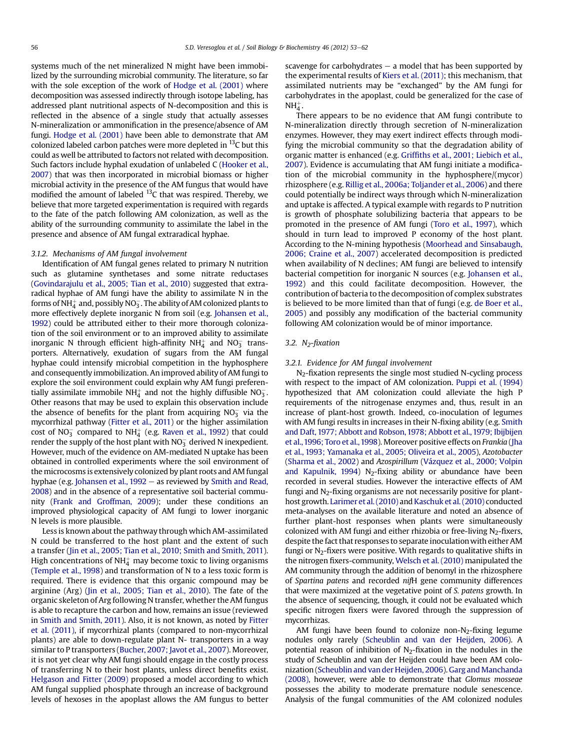systems much of the net mineralized N might have been immobilized by the surrounding microbial community. The literature, so far with the sole exception of the work of [Hodge et al. \(2001\)](#page-8-0) where decomposition was assessed indirectly through isotope labeling, has addressed plant nutritional aspects of N-decomposition and this is reflected in the absence of a single study that actually assesses N-mineralization or ammonification in the presence/absence of AM fungi. [Hodge et al. \(2001\)](#page-8-0) have been able to demonstrate that AM colonized labeled carbon patches were more depleted in  $^{13}$ C but this could as well be attributed to factors not related with decomposition. Such factors include hyphal exudation of unlabeled C ([Hooker et al.,](#page-8-0) [2007\)](#page-8-0) that was then incorporated in microbial biomass or higher microbial activity in the presence of the AM fungus that would have modified the amount of labeled 13C that was respired. Thereby, we believe that more targeted experimentation is required with regards to the fate of the patch following AM colonization, as well as the ability of the surrounding community to assimilate the label in the presence and absence of AM fungal extraradical hyphae.

#### 3.1.2. Mechanisms of AM fungal involvement

Identification of AM fungal genes related to primary N nutrition such as glutamine synthetases and some nitrate reductases ([Govindarajulu et al., 2005; Tian et al., 2010](#page-7-0)) suggested that extraradical hyphae of AM fungi have the ability to assimilate N in the forms of NH $_4^+$  and, possibly NO $_3^-$ . The ability of AM colonized plants to more effectively deplete inorganic N from soil (e.g. [Johansen et al.,](#page-8-0) [1992\)](#page-8-0) could be attributed either to their more thorough colonization of the soil environment or to an improved ability to assimilate inorganic N through efficient high-affinity  $NH<sub>4</sub><sup>+</sup>$  and  $NO<sub>3</sub><sup>-</sup>$  transporters. Alternatively, exudation of sugars from the AM fungal hyphae could intensify microbial competition in the hyphosphere and consequently immobilization. An improved ability of AM fungi to explore the soil environment could explain why AM fungi preferentially assimilate immobile NH $_4^+$  and not the highly diffusible NO $_3^-$ . Other reasons that may be used to explain this observation include the absence of benefits for the plant from acquiring  $NO<sub>3</sub><sup>-</sup>$  via the mycorrhizal pathway ([Fitter et al., 2011\)](#page-7-0) or the higher assimilation cost of NO $_3^-$  compared to NH $_4^+$  (e.g. [Raven et al., 1992\)](#page-8-0) that could render the supply of the host plant with NO $_3^-$  derived N inexpedient. However, much of the evidence on AM-mediated N uptake has been obtained in controlled experiments where the soil environment of the microcosms is extensively colonized by plant roots and AM fungal hyphae (e.g. Johansen et al.,  $1992 -$  as reviewed by [Smith and Read,](#page-9-0) [2008\)](#page-9-0) and in the absence of a representative soil bacterial community [\(Frank and Groffman, 2009\)](#page-7-0); under these conditions an improved physiological capacity of AM fungi to lower inorganic N levels is more plausible.

Less is known about the pathway through which AM-assimilated N could be transferred to the host plant and the extent of such a transfer ([Jin et al., 2005; Tian et al., 2010; Smith and Smith, 2011\)](#page-8-0). High concentrations of NH $_4^+$  may become toxic to living organisms ([Temple et al., 1998\)](#page-9-0) and transformation of N to a less toxic form is required. There is evidence that this organic compound may be arginine (Arg) ([Jin et al., 2005; Tian et al., 2010\)](#page-8-0). The fate of the organic skeleton of Arg following N transfer, whether the AM fungus is able to recapture the carbon and how, remains an issue (reviewed in [Smith and Smith, 2011](#page-9-0)). Also, it is not known, as noted by [Fitter](#page-7-0) [et al. \(2011\),](#page-7-0) if mycorrhizal plants (compared to non-mycorrhizal plants) are able to down-regulate plant N- transporters in a way similar to P transporters ([Bucher, 2007; Javot et al., 2007](#page-7-0)). Moreover, it is not yet clear why AM fungi should engage in the costly process of transferring N to their host plants, unless direct benefits exist. [Helgason and Fitter \(2009\)](#page-8-0) proposed a model according to which AM fungal supplied phosphate through an increase of background levels of hexoses in the apoplast allows the AM fungus to better scavenge for carbohydrates  $-$  a model that has been supported by the experimental results of [Kiers et al. \(2011\)](#page-8-0); this mechanism, that assimilated nutrients may be "exchanged" by the AM fungi for carbohydrates in the apoplast, could be generalized for the case of  $NH_4^+$ .

There appears to be no evidence that AM fungi contribute to N-mineralization directly through secretion of N-mineralization enzymes. However, they may exert indirect effects through modifying the microbial community so that the degradation ability of organic matter is enhanced (e.g. Griffi[ths et al., 2001; Liebich et al.,](#page-7-0) [2007\)](#page-7-0). Evidence is accumulating that AM fungi initiate a modification of the microbial community in the hyphosphere/(mycor) rhizosphere (e.g. [Rillig et al., 2006a; Toljander et al., 2006\)](#page-9-0) and there could potentially be indirect ways through which N-mineralization and uptake is affected. A typical example with regards to P nutrition is growth of phosphate solubilizing bacteria that appears to be promoted in the presence of AM fungi ([Toro et al., 1997](#page-9-0)), which should in turn lead to improved P economy of the host plant. According to the N-mining hypothesis ([Moorhead and Sinsabaugh,](#page-8-0) [2006; Craine et al., 2007](#page-8-0)) accelerated decomposition is predicted when availability of N declines; AM fungi are believed to intensify bacterial competition for inorganic N sources (e.g. [Johansen et al.,](#page-8-0) [1992](#page-8-0)) and this could facilitate decomposition. However, the contribution of bacteria to the decomposition of complex substrates is believed to be more limited than that of fungi (e.g. [de Boer et al.,](#page-7-0) [2005](#page-7-0)) and possibly any modification of the bacterial community following AM colonization would be of minor importance.

### 3.2.  $N_2$ -fixation

#### 3.2.1. Evidence for AM fungal involvement

N2-fixation represents the single most studied N-cycling process with respect to the impact of AM colonization. [Puppi et al. \(1994\)](#page-8-0) hypothesized that AM colonization could alleviate the high P requirements of the nitrogenase enzymes and, thus, result in an increase of plant-host growth. Indeed, co-inoculation of legumes with AM fungi results in increases in their N-fixing ability (e.g. [Smith](#page-9-0) [and Daft, 1977; Abbott and Robson, 1978; Abbott et al., 1979; Ibijbijen](#page-9-0) [et al.,1996; Toro et al.,1998\)](#page-9-0). Moreover positive effects on Frankia [\(Jha](#page-8-0) [et al., 1993; Yamanaka et al., 2005; Oliveira et al., 2005\)](#page-8-0), Azotobacter ([Sharma et al., 2002\)](#page-9-0) and Azospirillum [\(Vázquez et al., 2000; Volpin](#page-9-0) [and Kapulnik, 1994](#page-9-0)) N<sub>2</sub>-fixing ability or abundance have been recorded in several studies. However the interactive effects of AM fungi and  $N_2$ -fixing organisms are not necessarily positive for plant-host growth. [Larimer et al. \(2010\)](#page-8-0) and [Kaschuk et al. \(2010\)](#page-8-0) conducted meta-analyses on the available literature and noted an absence of further plant-host responses when plants were simultaneously colonized with AM fungi and either rhizobia or free-living  $N_2$ -fixers, despite the fact that responses to separate inoculation with either AM fungi or  $N_2$ -fixers were positive. With regards to qualitative shifts in the nitrogen fixers-community, [Welsch et al. \(2010\)](#page-9-0) manipulated the AM community through the addition of benomyl in the rhizosphere of Spartina patens and recorded nifH gene community differences that were maximized at the vegetative point of S. patens growth. In the absence of sequencing, though, it could not be evaluated which specific nitrogen fixers were favored through the suppression of mycorrhizas.

AM fungi have been found to colonize non- $N_2$ -fixing legume nodules only rarely ([Scheublin and van der Heijden, 2006\)](#page-9-0). A potential reason of inhibition of  $N_2$ -fixation in the nodules in the study of Scheublin and van der Heijden could have been AM colonization [\(Scheublin and van der Heijden, 2006\)](#page-9-0).[Garg and Manchanda](#page-7-0) [\(2008\),](#page-7-0) however, were able to demonstrate that Glomus mosseae possesses the ability to moderate premature nodule senescence. Analysis of the fungal communities of the AM colonized nodules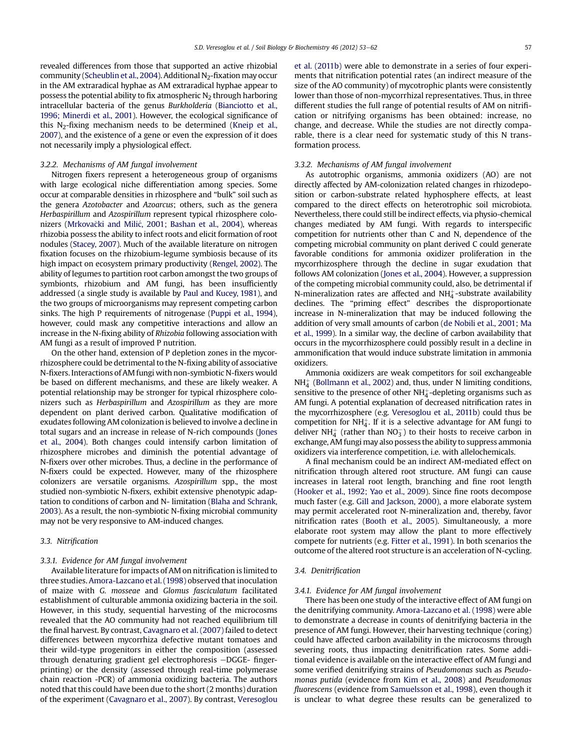<span id="page-4-0"></span>revealed differences from those that supported an active rhizobial community ([Scheublin et al., 2004\)](#page-9-0). Additional N<sub>2</sub>-fixation may occur in the AM extraradical hyphae as AM extraradical hyphae appear to possess the potential ability to fix atmospheric  $N_2$  through harboring intracellular bacteria of the genus Burkholderia [\(Bianciotto et al.,](#page-7-0) [1996; Minerdi et al., 2001](#page-7-0)). However, the ecological significance of this  $N_2$ -fixing mechanism needs to be determined [\(Kneip et al.,](#page-8-0) [2007](#page-8-0)), and the existence of a gene or even the expression of it does not necessarily imply a physiological effect.

#### 3.2.2. Mechanisms of AM fungal involvement

Nitrogen fixers represent a heterogeneous group of organisms with large ecological niche differentiation among species. Some occur at comparable densities in rhizosphere and "bulk" soil such as the genera Azotobacter and Azoarcus; others, such as the genera Herbaspirillum and Azospirillum represent typical rhizosphere colo-nizers [\(Mrkova](#page-8-0)čki and Milić[, 2001; Bashan et al., 2004\)](#page-8-0), whereas rhizobia possess the ability to infect roots and elicit formation of root nodules [\(Stacey, 2007](#page-9-0)). Much of the available literature on nitrogen fixation focuses on the rhizobium-legume symbiosis because of its high impact on ecosystem primary productivity ([Rengel, 2002\)](#page-8-0). The ability of legumes to partition root carbon amongst the two groups of symbionts, rhizobium and AM fungi, has been insufficiently addressed (a single study is available by [Paul and Kucey, 1981](#page-8-0)), and the two groups of microorganisms may represent competing carbon sinks. The high P requirements of nitrogenase [\(Puppi et al., 1994\)](#page-8-0), however, could mask any competitive interactions and allow an increase in the N-fixing ability of Rhizobia following association with AM fungi as a result of improved P nutrition.

On the other hand, extension of P depletion zones in the mycorrhizosphere could be detrimental to the N-fixing ability of associative N-fixers. Interactions of AM fungi with non-symbiotic N-fixers would be based on different mechanisms, and these are likely weaker. A potential relationship may be stronger for typical rhizosphere colonizers such as Herbaspirillum and Azospirillum as they are more dependent on plant derived carbon. Qualitative modification of exudates following AM colonization is believed to involve a decline in total sugars and an increase in release of N-rich compounds ([Jones](#page-8-0) [et al., 2004](#page-8-0)). Both changes could intensify carbon limitation of rhizosphere microbes and diminish the potential advantage of N-fixers over other microbes. Thus, a decline in the performance of N-fixers could be expected. However, many of the rhizosphere colonizers are versatile organisms. Azospirillum spp., the most studied non-symbiotic N-fixers, exhibit extensive phenotypic adaptation to conditions of carbon and N- limitation [\(Blaha and Schrank,](#page-7-0) [2003](#page-7-0)). As a result, the non-symbiotic N-fixing microbial community may not be very responsive to AM-induced changes.

#### 3.3. Nitrification

## 3.3.1. Evidence for AM fungal involvement

Available literature for impacts of AM on nitrification is limited to three studies. [Amora-Lazcano et al. \(1998\)](#page-7-0) observed that inoculation of maize with G. mosseae and Glomus fasciculatum facilitated establishment of culturable ammonia oxidizing bacteria in the soil. However, in this study, sequential harvesting of the microcosms revealed that the AO community had not reached equilibrium till the final harvest. By contrast, [Cavagnaro et al. \(2007\)](#page-7-0) failed to detect differences between mycorrhiza defective mutant tomatoes and their wild-type progenitors in either the composition (assessed through denaturing gradient gel electrophoresis -DGGE- fingerprinting) or the density (assessed through real-time polymerase chain reaction -PCR) of ammonia oxidizing bacteria. The authors noted that this could have been due to the short (2 months) duration of the experiment ([Cavagnaro et al., 2007](#page-7-0)). By contrast, [Veresoglou](#page-9-0) [et al. \(2011b\)](#page-9-0) were able to demonstrate in a series of four experiments that nitrification potential rates (an indirect measure of the size of the AO community) of mycotrophic plants were consistently lower than those of non-mycorrhizal representatives. Thus, in three different studies the full range of potential results of AM on nitrification or nitrifying organisms has been obtained: increase, no change, and decrease. While the studies are not directly comparable, there is a clear need for systematic study of this N transformation process.

#### 3.3.2. Mechanisms of AM fungal involvement

As autotrophic organisms, ammonia oxidizers (AO) are not directly affected by AM-colonization related changes in rhizodeposition or carbon-substrate related hyphosphere effects, at least compared to the direct effects on heterotrophic soil microbiota. Nevertheless, there could still be indirect effects, via physio-chemical changes mediated by AM fungi. With regards to interspecific competition for nutrients other than C and N, dependence of the competing microbial community on plant derived C could generate favorable conditions for ammonia oxidizer proliferation in the mycorrhizosphere through the decline in sugar exudation that follows AM colonization ([Jones et al., 2004](#page-8-0)). However, a suppression of the competing microbial community could, also, be detrimental if N-mineralization rates are affected and  $NH_4^+$ -substrate availability declines. The "priming effect" describes the disproportionate increase in N-mineralization that may be induced following the addition of very small amounts of carbon [\(de Nobili et al., 2001; Ma](#page-7-0) [et al., 1999\)](#page-7-0). In a similar way, the decline of carbon availability that occurs in the mycorrhizosphere could possibly result in a decline in ammonification that would induce substrate limitation in ammonia oxidizers.

Ammonia oxidizers are weak competitors for soil exchangeable  $NH_4^+$  [\(Bollmann et al., 2002](#page-7-0)) and, thus, under N limiting conditions, sensitive to the presence of other  $NH_4^+$ -depleting organisms such as AM fungi. A potential explanation of decreased nitrification rates in the mycorrhizosphere (e.g. [Veresoglou et al., 2011b\)](#page-9-0) could thus be competition for  $NH_4^+$ . If it is a selective advantage for AM fungi to deliver NH $_4^+$  (rather than NO<sub>3</sub>) to their hosts to receive carbon in exchange, AM fungi may also possess the ability to suppress ammonia oxidizers via interference competition, i.e. with allelochemicals.

A final mechanism could be an indirect AM-mediated effect on nitrification through altered root structure. AM fungi can cause increases in lateral root length, branching and fine root length ([Hooker et al., 1992; Yao et al., 2009](#page-8-0)). Since fine roots decompose much faster (e.g. [Gill and Jackson, 2000\)](#page-7-0), a more elaborate system may permit accelerated root N-mineralization and, thereby, favor nitrification rates ([Booth et al., 2005\)](#page-7-0). Simultaneously, a more elaborate root system may allow the plant to more effectively compete for nutrients (e.g. [Fitter et al., 1991](#page-7-0)). In both scenarios the outcome of the altered root structure is an acceleration of N-cycling.

#### 3.4. Denitrification

#### 3.4.1. Evidence for AM fungal involvement

There has been one study of the interactive effect of AM fungi on the denitrifying community. [Amora-Lazcano et al. \(1998\)](#page-7-0) were able to demonstrate a decrease in counts of denitrifying bacteria in the presence of AM fungi. However, their harvesting technique (coring) could have affected carbon availability in the microcosms through severing roots, thus impacting denitrification rates. Some additional evidence is available on the interactive effect of AM fungi and some verified denitrifying strains of Pseudomonas such as Pseudomonas putida (evidence from [Kim et al., 2008](#page-8-0)) and Pseudomonas fluorescens (evidence from [Samuelsson et al., 1998](#page-9-0)), even though it is unclear to what degree these results can be generalized to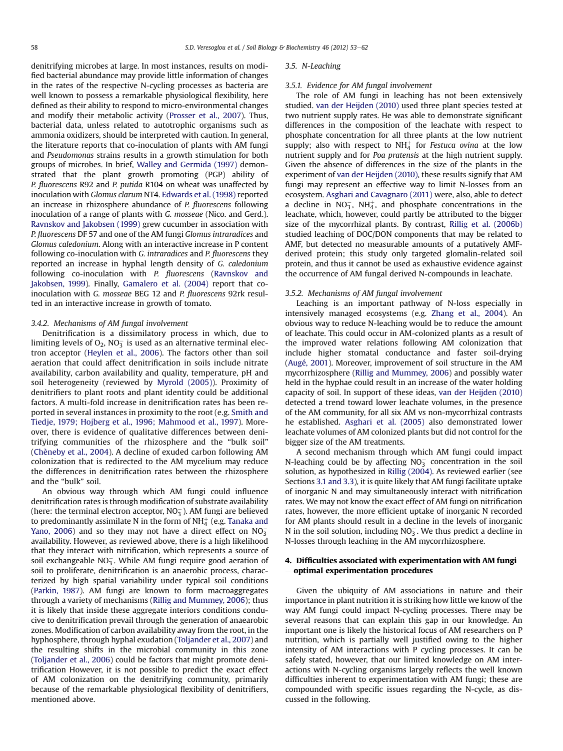denitrifying microbes at large. In most instances, results on modified bacterial abundance may provide little information of changes in the rates of the respective N-cycling processes as bacteria are well known to possess a remarkable physiological flexibility, here defined as their ability to respond to micro-environmental changes and modify their metabolic activity [\(Prosser et al., 2007](#page-8-0)). Thus, bacterial data, unless related to autotrophic organisms such as ammonia oxidizers, should be interpreted with caution. In general, the literature reports that co-inoculation of plants with AM fungi and Pseudomonas strains results in a growth stimulation for both groups of microbes. In brief, [Walley and Germida \(1997\)](#page-9-0) demonstrated that the plant growth promoting (PGP) ability of P. fluorescens R92 and P. putida R104 on wheat was unaffected by inoculation with Glomus clarum NT4. [Edwards et al. \(1998\)](#page-7-0) reported an increase in rhizosphere abundance of P. fluorescens following inoculation of a range of plants with G. mosseae (Nico. and Gerd.). [Ravnskov and Jakobsen \(1999\)](#page-8-0) grew cucumber in association with P. fluorescens DF 57 and one of the AM fungi Glomus intraradices and Glomus caledonium. Along with an interactive increase in P content following co-inoculation with G. intraradices and P. fluorescens they reported an increase in hyphal length density of G. caledonium following co-inoculation with P. fluorescens ([Ravnskov and](#page-8-0) [Jakobsen, 1999](#page-8-0)). Finally, [Gamalero et al. \(2004\)](#page-7-0) report that coinoculation with G. mosseae BEG 12 and P. fluorescens 92rk resulted in an interactive increase in growth of tomato.

#### 3.4.2. Mechanisms of AM fungal involvement

Denitrification is a dissimilatory process in which, due to limiting levels of O<sub>2</sub>, NO<sub>3</sub> is used as an alternative terminal electron acceptor [\(Heylen et al., 2006](#page-8-0)). The factors other than soil aeration that could affect denitrification in soils include nitrate availability, carbon availability and quality, temperature, pH and soil heterogeneity (reviewed by [Myrold \(2005\)\)](#page-8-0). Proximity of denitrifiers to plant roots and plant identity could be additional factors. A multi-fold increase in denitrification rates has been reported in several instances in proximity to the root (e.g. [Smith and](#page-9-0) [Tiedje, 1979; Hojberg et al., 1996; Mahmood et al., 1997](#page-9-0)). Moreover, there is evidence of qualitative differences between denitrifying communities of the rhizosphere and the "bulk soil" ([Chèneby et al., 2004\)](#page-7-0). A decline of exuded carbon following AM colonization that is redirected to the AM mycelium may reduce the differences in denitrification rates between the rhizosphere and the "bulk" soil.

An obvious way through which AM fungi could influence denitrification rates is through modification of substrate availability (here: the terminal electron acceptor, NO $_3^-$ ). AM fungi are believed to predominantly assimilate N in the form of NH $_4^+$  (e.g. [Tanaka and](#page-9-0) [Yano, 2006](#page-9-0)) and so they may not have a direct effect on  $NO_3^$ availability. However, as reviewed above, there is a high likelihood that they interact with nitrification, which represents a source of soil exchangeable  $\overline{\text{NO}_3}$ . While AM fungi require good aeration of soil to proliferate, denitrification is an anaerobic process, characterized by high spatial variability under typical soil conditions ([Parkin, 1987](#page-8-0)). AM fungi are known to form macroaggregates through a variety of mechanisms ([Rillig and Mummey, 2006](#page-9-0)); thus it is likely that inside these aggregate interiors conditions conducive to denitrification prevail through the generation of anaearobic zones. Modification of carbon availability away from the root, in the hyphosphere, through hyphal exudation ([Toljander et al., 2007](#page-9-0)) and the resulting shifts in the microbial community in this zone ([Toljander et al., 2006\)](#page-9-0) could be factors that might promote denitrification However, it is not possible to predict the exact effect of AM colonization on the denitrifying community, primarily because of the remarkable physiological flexibility of denitrifiers, mentioned above.

#### 3.5. N-Leaching

#### 3.5.1. Evidence for AM fungal involvement

The role of AM fungi in leaching has not been extensively studied. [van der Heijden \(2010\)](#page-9-0) used three plant species tested at two nutrient supply rates. He was able to demonstrate significant differences in the composition of the leachate with respect to phosphate concentration for all three plants at the low nutrient supply; also with respect to  $NH_4^+$  for *Festuca ovina* at the low nutrient supply and for Poa pratensis at the high nutrient supply. Given the absence of differences in the size of the plants in the experiment of [van der Heijden \(2010\)](#page-9-0), these results signify that AM fungi may represent an effective way to limit N-losses from an ecosystem. [Asghari and Cavagnaro \(2011\)](#page-7-0) were, also, able to detect a decline in  $NO_3^-$ ,  $NH_4^+$ , and phosphate concentrations in the leachate, which, however, could partly be attributed to the bigger size of the mycorrhizal plants. By contrast, [Rillig et al. \(2006b\)](#page-9-0) studied leaching of DOC/DON components that may be related to AMF, but detected no measurable amounts of a putatively AMFderived protein; this study only targeted glomalin-related soil protein, and thus it cannot be used as exhaustive evidence against the occurrence of AM fungal derived N-compounds in leachate.

## 3.5.2. Mechanisms of AM fungal involvement

Leaching is an important pathway of N-loss especially in intensively managed ecosystems (e.g. [Zhang et al., 2004](#page-9-0)). An obvious way to reduce N-leaching would be to reduce the amount of leachate. This could occur in AM-colonized plants as a result of the improved water relations following AM colonization that include higher stomatal conductance and faster soil-drying ([Augé, 2001\)](#page-7-0). Moreover, improvement of soil structure in the AM mycorrhizosphere ([Rillig and Mummey, 2006\)](#page-9-0) and possibly water held in the hyphae could result in an increase of the water holding capacity of soil. In support of these ideas, [van der Heijden \(2010\)](#page-9-0) detected a trend toward lower leachate volumes, in the presence of the AM community, for all six AM vs non-mycorrhizal contrasts he established. [Asghari et al. \(2005\)](#page-7-0) also demonstrated lower leachate volumes of AM colonized plants but did not control for the bigger size of the AM treatments.

A second mechanism through which AM fungi could impact N-leaching could be by affecting  $NO_3^-$  concentration in the soil solution, as hypothesized in [Rillig \(2004\)](#page-9-0). As reviewed earlier (see Sections [3.1 and 3.3\)](#page-2-0), it is quite likely that AM fungi facilitate uptake of inorganic N and may simultaneously interact with nitrification rates. We may not know the exact effect of AM fungi on nitrification rates, however, the more efficient uptake of inorganic N recorded for AM plants should result in a decline in the levels of inorganic N in the soil solution, including  $NO_3^-$ . We thus predict a decline in N-losses through leaching in the AM mycorrhizosphere.

## 4. Difficulties associated with experimentation with AM fungi  $-$  optimal experimentation procedures

Given the ubiquity of AM associations in nature and their importance in plant nutrition it is striking how little we know of the way AM fungi could impact N-cycling processes. There may be several reasons that can explain this gap in our knowledge. An important one is likely the historical focus of AM researchers on P nutrition, which is partially well justified owing to the higher intensity of AM interactions with P cycling processes. It can be safely stated, however, that our limited knowledge on AM interactions with N-cycling organisms largely reflects the well known difficulties inherent to experimentation with AM fungi; these are compounded with specific issues regarding the N-cycle, as discussed in the following.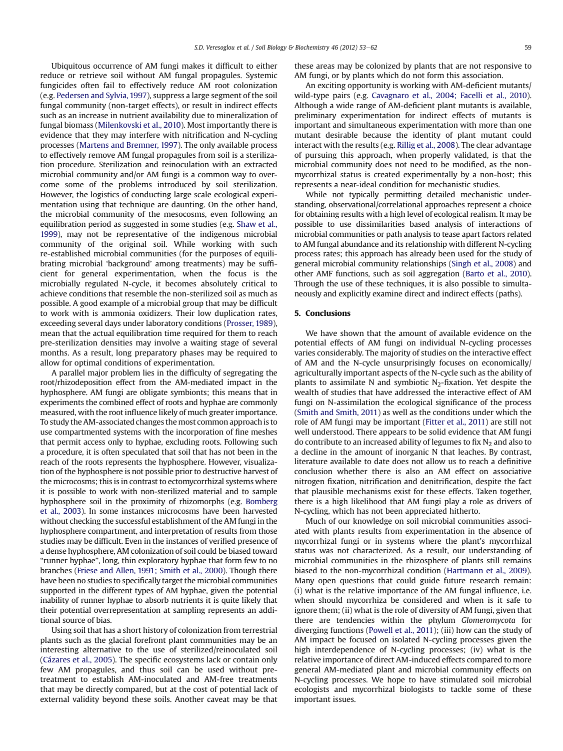Ubiquitous occurrence of AM fungi makes it difficult to either reduce or retrieve soil without AM fungal propagules. Systemic fungicides often fail to effectively reduce AM root colonization (e.g. [Pedersen and Sylvia, 1997](#page-8-0)), suppress a large segment of the soil fungal community (non-target effects), or result in indirect effects such as an increase in nutrient availability due to mineralization of fungal biomass ([Milenkovski et al., 2010](#page-8-0)). Most importantly there is evidence that they may interfere with nitrification and N-cycling processes [\(Martens and Bremner, 1997](#page-8-0)). The only available process to effectively remove AM fungal propagules from soil is a sterilization procedure. Sterilization and reinoculation with an extracted microbial community and/or AM fungi is a common way to overcome some of the problems introduced by soil sterilization. However, the logistics of conducting large scale ecological experimentation using that technique are daunting. On the other hand, the microbial community of the mesocosms, even following an equilibration period as suggested in some studies (e.g. [Shaw et al.,](#page-9-0) [1999\)](#page-9-0), may not be representative of the indigenous microbial community of the original soil. While working with such re-established microbial communities (for the purposes of equilibrating microbial 'background' among treatments) may be sufficient for general experimentation, when the focus is the microbially regulated N-cycle, it becomes absolutely critical to achieve conditions that resemble the non-sterilized soil as much as possible. A good example of a microbial group that may be difficult to work with is ammonia oxidizers. Their low duplication rates, exceeding several days under laboratory conditions ([Prosser, 1989\)](#page-8-0), mean that the actual equilibration time required for them to reach pre-sterilization densities may involve a waiting stage of several months. As a result, long preparatory phases may be required to allow for optimal conditions of experimentation.

A parallel major problem lies in the difficulty of segregating the root/rhizodeposition effect from the AM-mediated impact in the hyphosphere. AM fungi are obligate symbionts; this means that in experiments the combined effect of roots and hyphae are commonly measured, with the root influence likely of much greater importance. To study the AM-associated changes the most common approach is to use compartmented systems with the incorporation of fine meshes that permit access only to hyphae, excluding roots. Following such a procedure, it is often speculated that soil that has not been in the reach of the roots represents the hyphosphere. However, visualization of the hyphosphere is not possible prior to destructive harvest of the microcosms; this is in contrast to ectomycorrhizal systems where it is possible to work with non-sterilized material and to sample hyphosphere soil in the proximity of rhizomorphs (e.g. [Bomberg](#page-7-0) [et al., 2003\)](#page-7-0). In some instances microcosms have been harvested without checking the successful establishment of the AM fungi in the hyphosphere compartment, and interpretation of results from those studies may be difficult. Even in the instances of verified presence of a dense hyphosphere, AM colonization of soil could be biased toward "runner hyphae", long, thin exploratory hyphae that form few to no branches ([Friese and Allen, 1991; Smith et al., 2000\)](#page-7-0). Though there have been no studies to specifically target the microbial communities supported in the different types of AM hyphae, given the potential inability of runner hyphae to absorb nutrients it is quite likely that their potential overrepresentation at sampling represents an additional source of bias.

Using soil that has a short history of colonization from terrestrial plants such as the glacial forefront plant communities may be an interesting alternative to the use of sterilized/reinoculated soil ([Cázares et al., 2005\)](#page-7-0). The specific ecosystems lack or contain only few AM propagules, and thus soil can be used without pretreatment to establish AM-inoculated and AM-free treatments that may be directly compared, but at the cost of potential lack of external validity beyond these soils. Another caveat may be that

these areas may be colonized by plants that are not responsive to AM fungi, or by plants which do not form this association.

An exciting opportunity is working with AM-deficient mutants/ wild-type pairs (e.g. [Cavagnaro et al., 2004; Facelli et al., 2010\)](#page-7-0). Although a wide range of AM-deficient plant mutants is available, preliminary experimentation for indirect effects of mutants is important and simultaneous experimentation with more than one mutant desirable because the identity of plant mutant could interact with the results (e.g. [Rillig et al., 2008\)](#page-9-0). The clear advantage of pursuing this approach, when properly validated, is that the microbial community does not need to be modified, as the nonmycorrhizal status is created experimentally by a non-host; this represents a near-ideal condition for mechanistic studies.

While not typically permitting detailed mechanistic understanding, observational/correlational approaches represent a choice for obtaining results with a high level of ecological realism. It may be possible to use dissimilarities based analysis of interactions of microbial communities or path analysis to tease apart factors related to AM fungal abundance and its relationship with different N-cycling process rates; this approach has already been used for the study of general microbial community relationships [\(Singh et al., 2008](#page-9-0)) and other AMF functions, such as soil aggregation ([Barto et al., 2010\)](#page-7-0). Through the use of these techniques, it is also possible to simultaneously and explicitly examine direct and indirect effects (paths).

## 5. Conclusions

We have shown that the amount of available evidence on the potential effects of AM fungi on individual N-cycling processes varies considerably. The majority of studies on the interactive effect of AM and the N-cycle unsurprisingly focuses on economically/ agriculturally important aspects of the N-cycle such as the ability of plants to assimilate N and symbiotic  $N_2$ -fixation. Yet despite the wealth of studies that have addressed the interactive effect of AM fungi on N-assimilation the ecological significance of the process ([Smith and Smith, 2011\)](#page-9-0) as well as the conditions under which the role of AM fungi may be important [\(Fitter et al., 2011\)](#page-7-0) are still not well understood. There appears to be solid evidence that AM fungi do contribute to an increased ability of legumes to fix  $N_2$  and also to a decline in the amount of inorganic N that leaches. By contrast, literature available to date does not allow us to reach a definitive conclusion whether there is also an AM effect on associative nitrogen fixation, nitrification and denitrification, despite the fact that plausible mechanisms exist for these effects. Taken together, there is a high likelihood that AM fungi play a role as drivers of N-cycling, which has not been appreciated hitherto.

Much of our knowledge on soil microbial communities associated with plants results from experimentation in the absence of mycorrhizal fungi or in systems where the plant's mycorrhizal status was not characterized. As a result, our understanding of microbial communities in the rhizosphere of plants still remains biased to the non-mycorrhizal condition ([Hartmann et al., 2009\)](#page-8-0). Many open questions that could guide future research remain: (i) what is the relative importance of the AM fungal influence, i.e. when should mycorrhiza be considered and when is it safe to ignore them; (ii) what is the role of diversity of AM fungi, given that there are tendencies within the phylum Glomeromycota for diverging functions [\(Powell et al., 2011\)](#page-8-0); (iii) how can the study of AM impact be focused on isolated N-cycling processes given the high interdependence of N-cycling processes; (iv) what is the relative importance of direct AM-induced effects compared to more general AM-mediated plant and microbial community effects on N-cycling processes. We hope to have stimulated soil microbial ecologists and mycorrhizal biologists to tackle some of these important issues.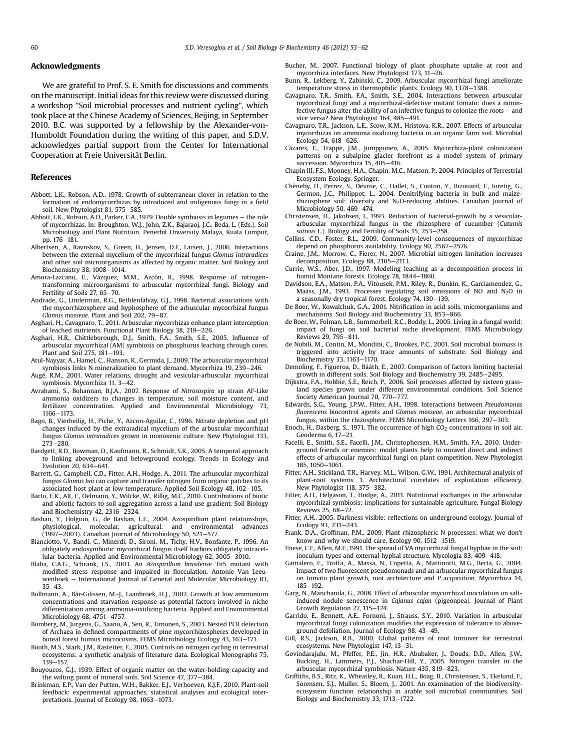#### <span id="page-7-0"></span>Acknowledgments

We are grateful to Prof. S. E. Smith for discussions and comments on the manuscript. Initial ideas for this review were discussed during a workshop "Soil microbial processes and nutrient cycling", which took place at the Chinese Academy of Sciences, Beijing, in September 2010. B.C. was supported by a fellowship by the Alexander-von-Humboldt Foundation during the writing of this paper, and S.D.V. acknowledges partial support from the Center for International Cooperation at Freie Universität Berlin.

#### References

- Abbott, L.K., Robson, A.D., 1978. Growth of subterranean clover in relation to the formation of endomycorrhizas by introduced and indigenous fungi in a field soil. New Phytologist 81, 575-585.
- Abbott, L.K., Robson, A.D., Parker, C.A., 1979. Double symbiosis in legumes  $-$  the role of mycorrhizas. In: Broughton, W.J., John, Z.K., Bajaraoj, J.C., Beda, L. (Eds.), Soil Microbiology and Plant Nutrition. Penerbit University Malaya, Kuala Lumpur, pp. 176-181.
- Albertsen, A., Ravnskov, S., Green, H., Jensen, D.F., Larsen, J., 2006. Interactions between the external mycelium of the mycorrhizal fungus Glomus intraradices and other soil microorganisms as affected by organic matter. Soil Biology and Biochemistry 38, 1008-1014.
- Amora-Lazcano, E., Vázquez, M.M., Azcón, R., 1998. Response of nitrogentransforming microorganisms to arbuscular mycorrhizal fungi. Biology and Fertility of Soils 27, 65-70.
- Andrade, G., Linderman, R.G., Bethlenfalvay, G.J., 1998. Bacterial associations with the mycorrhizosphere and hyphosphere of the arbuscular mycorrhizal fungus Glomus mosseae. Plant and Soil 202, 79-87.
- Asghari, H., Cavagnaro, T., 2011. Arbuscular mycorrhizas enhance plant interception of leached nutrients. Functional Plant Biology 38, 219-226.
- Asghari, H.R., Chittleborough, D.J., Smith, F.A., Smith, S.E., 2005. Influence of arbuscular mycorrhizal (AM) symbiosis on phosphorus leaching through cores. Plant and Soil 275, 181-193.
- Atul-Nayyar, A., Hamel, C., Hanson, K., Germida, J., 2009. The arbuscular mycorrhizal symbiosis links N mineralization to plant demand. Mycorrhiza 19, 239-246.
- Augé, R.M., 2001. Water relations, drought and vesicular-arbuscular mycorrhizal symbiosis. Mycorrhiza 11, 3-42.
- Avrahami, S., Bohannan, B.J.A., 2007. Response of Nitrosospira sp strain AF-Like ammonia oxidizers to changes in temperature, soil moisture content, and fertilizer concentration. Applied and Environmental Microbiology 73, 1166-1173
- Bago, B., Vierheilig, H., Piche, Y., Azcon-Aguilar, C., 1996. Nitrate depletion and pH changes induced by the extraradical mycelium of the arbuscular mycorrhizal fungus Glomus intraradices grown in monoxenic culture. New Phytologist 133,  $273 - 280.$
- Bardgett, R.D., Bowman, D., Kaufmann, R., Schmidt, S.K., 2005. A temporal approach to linking aboveground and belowground ecology. Trends in Ecology and Evolution  $20, 634 - 641$ .
- Barrett, G., Campbell, C.D., Fitter, A.H., Hodge, A., 2011. The arbuscular mycorrhizal fungus Glomus hoi can capture and transfer nitrogen from organic patches to its associated host plant at low temperature. Applied Soil Ecology 48, 102-105.
- Barto, E.K., Alt, F., Oelmann, Y., Wilcke, W., Rillig, M.C., 2010. Contributions of biotic and abiotic factors to soil aggregation across a land use gradient. Soil Biology and Biochemistry 42, 2316 $-2324$ .
- Bashan, Y., Holguin, G., de Bashan, L.E., 2004. Azospirillum plant relationships, physiological, molecular, agricultural, and environmental advances<br>(1997–2003). Canadian Journal of Microbiology 50, 521–577.
- Bianciotto, V., Bandi, C., Minerdi, D., Sironi, M., Tichy, H.V., Bonfante, P., 1996. An obligately endosymbiotic mycorrhizal fungus itself harbors obligately intracellular bacteria. Applied and Environmental Microbiology 62, 3005-3010.
- Blaha, C.A.G., Schrank, I.S., 2003. An Azospirillum brasilense Tn5 mutant with modified stress response and impaired in flocculation. Antonie Van Leeuwenhoek - International Journal of General and Molecular Microbiology 83,  $35 - 43$ .
- Bollmann, A., Bår-Gilissen, M.-J., Laanbroek, H.J., 2002. Growth at low ammonium concentrations and starvation response as potential factors involved in niche differentiation among ammonia-oxidizing bacteria. Applied and Environmental Microbiology 68, 4751-4757.
- Bomberg, M., Jurgens, G., Saano, A., Sen, R., Timonen, S., 2003. Nested PCR detection of Archaea in defined compartments of pine mycorrhizospheres developed in boreal forest humus microcosms. FEMS Microbiology Ecology 43, 163-171.
- Booth, M.S., Stark, J.M., Rastetter, E., 2005. Controls on nitrogen cycling in terrestrial ecosystems: a synthetic analysis of literature data. Ecological Monographs 75,  $139 - 157.$
- Bouyoucos, G.J., 1939. Effect of organic matter on the water-holding capacity and the wilting point of mineral soils. Soil Science 47, 377-384.
- Brinkman, E.P., Van der Putten, W.H., Bakker, E.J., Verhoeven, K.J.F., 2010. Plant-soil feedback: experimental approaches, statistical analyses and ecological interpretations. Journal of Ecology 98, 1063-1073.
- Bucher, M., 2007. Functional biology of plant phosphate uptake at root and mycorrhiza interfaces. New Phytologist  $173$ ,  $11-26$ .
- Bunn, R., Lekberg, Y., Zabinski, C., 2009. Arbuscular mycorrhizal fungi ameliorate temperature stress in thermophilic plants. Ecology 90,  $1378-1388$ .
- Cavagnaro, T.R., Smith, F.A., Smith, S.E., 2004. Interactions between arbuscular mycorrhizal fungi and a mycorrhizal-defective mutant tomato: does a noninfective fungus alter the ability of an infective fungus to colonize the roots  $-$  and vice versa? New Phytologist 164, 485-491.
- Cavagnaro, T.R., Jackson, L.E., Scow, K.M., Hristova, K.R., 2007. Effects of arbuscular mycorrhizas on ammonia oxidizing bacteria in an organic farm soil. Microbial Ecology 54, 618-626.
- Cázares, E., Trappe, J.M., Jumpponen, A., 2005. Mycorrhiza-plant colonization patterns on a subalpine glacier forefront as a model system of primary succession. Mycorrhiza 15, 405-416.
- Chapin III, F.S., Mooney, H.A., Chapin, M.C., Matson, P., 2004. Principles of Terrestrial
- Ecosystem Ecology. Springer. Chèneby, D., Perrez, S., Devroe, C., Hallet, S., Couton, Y., Bizouard, F., Iuretig, G., Germon, J.C., Philippot, L., 2004. Denitrifying bacteria in bulk and maizerhizosphere soil: diversity and N<sub>2</sub>O-reducing abilities. Canadian Journal of Microbiology 50, 469-474.
- Christensen, H., Jakobsen, I., 1993. Reduction of bacterial-growth by a vesiculararbuscular mycorrhizal fungus in the rhizosphere of cucumber (Cutumis sativus L.). Biology and Fertility of Soils 15, 253-258.
- Collins, C.D., Foster, B.L., 2009. Community-level consequences of mycorrhizae depend on phosphorus availability. Ecology 90, 2567-2576.
- Craine, J.M., Morrow, C., Fierer, N., 2007. Microbial nitrogen limitation increases decomposition. Ecology 88, 2105-2113.
- Currie, W.S., Aber, J.D., 1997. Modeling leaching as a decomposition process in humid Montane forests. Ecology 78, 1844-1860.
- Davidson, E.A., Matson, P.A., Vitousek, P.M., Riley, R., Dunkin, K., Garciamendez, G., Maass, J.M., 1993. Processes regulating soil emissions of NO and  $N_2O$  in a seasonally dry tropical forest. Ecology 74, 130-139.
- De Boer, W., Kowalchuk, G.A., 2001. Nitrification in acid soils, microorganisms and mechanisms. Soil Biology and Biochemistry 33, 853-866.
- de Boer, W., Folman, L.B., Summerbell, R.C., Boddy, L., 2005. Living in a fungal world: impact of fungi on soil bacterial niche development. FEMS Microbiology Reviews 29, 795-811.
- de Nobili, M., Contin, M., Mondini, C., Brookes, P.C., 2001. Soil microbial biomass is triggered into activity by trace amounts of substrate. Soil Biology and Biochemistry 33, 1163-1170.
- Demoling, F., Figueroa, D., Bååth, E., 2007. Comparison of factors limiting bacterial growth in different soils. Soil Biology and Biochemistry 39, 2485-2495.
- Dijkstra, F.A., Hobbie, S.E., Reich, P., 2006. Soil processes affected by sixteen grassland species grown under different environmental conditions. Soil Science Society American Journal 70, 770-777.
- Edwards, S.G., Young, J.P.W., Fitter, A.H., 1998. Interactions between Pseudomonas fluorescens biocontrol agents and Glomus mosseae, an arbuscular mycorrhizal fungus, within the rhizosphere. FEMS Microbiology Letters 166, 297-303.
- Enoch, H., Dasberg, S., 1971. The occurrence of high  $CO<sub>2</sub>$  concentrations in soil air. Geoderma 6,  $17-21$ .
- Facelli, E., Smith, S.E., Facelli, J.M., Christophersen, H.M., Smith, F.A., 2010. Underground friends or enemies: model plants help to unravel direct and indirect effects of arbuscular mycorrhizal fungi on plant competition. New Phytologist 185, 1050-1061
- Fitter, A.H., Stickland, T.R., Harvey, M.L., Wilson, G.W., 1991. Architectural analysis of plant-root systems. 1. Architectural correlates of exploitation efficiency. New Phytologist 118, 375-382.
- Fitter, A.H., Helgason, T., Hodge, A., 2011. Nutritional exchanges in the arbuscular mycorrhizal symbiosis: implications for sustainable agriculture. Fungal Biology Reviews 25, 68-72.
- Fitter, A.H., 2005. Darkness visible: reflections on underground ecology. Journal of Ecology 93, 231-243.
- Frank, D.A., Groffman, P.M., 2009. Plant rhizospheric N processes: what we don't know and why we should care. Ecology  $90, 1512-1519$ .
- Friese, C.F., Allen, M.F., 1991. The spread of VA mycorrhizal fungal hyphae in the soil: inoculum types and external hyphal structure. Mycologia 83, 409-418.
- Gamalero, E., Trotta, A., Massa, N., Copetta, A., Martinotti, M.G., Berta, G., 2004. Impact of two fluorescent pseudomonads and an arbuscular mycorrhizal fungus on tomato plant growth, root architecture and P acquisition. Mycorrhiza 14, 185-192.
- Garg, N., Manchanda, G., 2008. Effect of arbuscular mycorrhizal inoculation on saltinduced nodule senescence in Cajanus cajan (pigeonpea). Journal of Plant Growth Regulation 27, 115-124.
- Garrido, E., Bennett, A.E., Fornoni, J., Strauss, S.Y., 2010. Variation in arbuscular mycorrhizal fungi colonization modifies the expression of tolerance to aboveground defoliation. Journal of Ecology 98,  $43-49$ .
- Gill, R.S., Jackson, R.B., 2000. Global patterns of root turnover for terrestrial ecosystems. New Phytologist 147, 13-31.
- Govindarajulu, M., Pfeffer, P.E., Jin, H.R., Abubaker, J., Douds, D.D., Allen, J.W., Bucking, H., Lammers, P.J., Shachar-Hill, Y., 2005. Nitrogen transfer in the arbuscular mycorrhizal symbiosis. Nature 435, 819-823.
- Griffiths, B.S., Ritz, K., Wheatley, R., Kuan, H.L., Boag, B., Christensen, S., Ekelund, F., Sorensen, S.J., Muller, S., Bloem, J., 2001. An examination of the biodiversityecosystem function relationship in arable soil microbial communities. Soil Biology and Biochemistry 33, 1713-1722.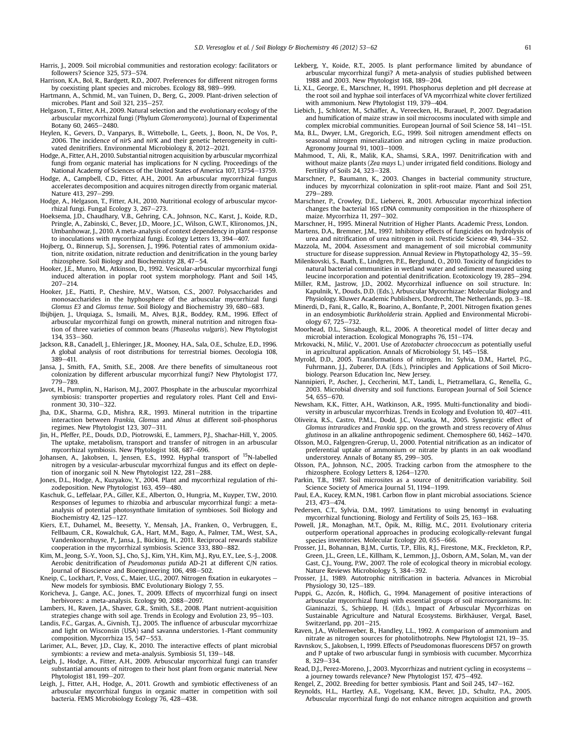<span id="page-8-0"></span>Harris, J., 2009. Soil microbial communities and restoration ecology: facilitators or followers? Science 325, 573-574.

- Harrison, K.A., Bol, R., Bardgett, R.D., 2007. Preferences for different nitrogen forms by coexisting plant species and microbes. Ecology 88, 989-999.
- Hartmann, A., Schmid, M., van Tuinen, D., Berg, G., 2009. Plant-driven selection of microbes. Plant and Soil 321, 235-257.
- Helgason, T., Fitter, A.H., 2009. Natural selection and the evolutionary ecology of the arbuscular mycorrhizal fungi (Phylum Glomeromycota). Journal of Experimental Botany 60,  $2465 - 2480$
- Heylen, K., Gevers, D., Vanparys, B., Wittebolle, L., Geets, J., Boon, N., De Vos, P., 2006. The incidence of *nir*S and *nir*K and their genetic heterogeneity in culti-<br>vated denitrifiers. Environmental Microbiology 8, 2012–2021.
- Hodge, A., Fitter, A.H., 2010. Substantial nitrogen acquisition by arbuscular mycorrhizal fungi from organic material has implications for N cycling. Proceedings of the National Academy of Sciences of the United States of America 107, 13754–13759.
- Hodge, A., Campbell, C.D., Fitter, A.H., 2001. An arbuscular mycorrhizal fungus accelerates decomposition and acquires nitrogen directly from organic material. Nature  $413. 297 - 299.$
- Hodge, A., Helgason, T., Fitter, A.H., 2010. Nutritional ecology of arbuscular mycorrhizal fungi. Fungal Ecology 3, 267-273.
- Hoeksema, J.D., Chaudhary, V.B., Gehring, C.A., Johnson, N.C., Karst, J., Koide, R.D., Pringle, A., Zabinski, C., Bever, J.D., Moore, J.C., Wilson, G.W.T., Klironomos, J.N., Umbanhowar, J., 2010. A meta-analysis of context dependency in plant response to inoculations with mycorrhizal fungi. Ecology Letters 13, 394-407.
- Hojberg, O., Binnerup, S.J., Sorensen, J., 1996. Potential rates of ammonium oxidation, nitrite oxidation, nitrate reduction and denitrification in the young barley rhizosphere. Soil Biology and Biochemistry 28, 47-54.
- Hooker, J.E., Munro, M., Atkinson, D., 1992. Vesicular-arbuscular mycorrhizal fungi induced alteration in poplar root system morphology. Plant and Soil 145,  $207 - 214.$
- Hooker, J.E., Piatti, P., Cheshire, M.V., Watson, C.S., 2007. Polysaccharides and monosaccharides in the hyphosphere of the arbuscular mycorrhizal fungi Glomus E3 and Glomus tenue. Soil Biology and Biochemistry 39, 680-683.
- Ibijbijen, J., Urquiaga, S., Ismaili, M., Alves, B.J.R., Boddey, R.M., 1996. Effect of arbuscular mycorrhizal fungi on growth, mineral nutrition and nitrogen fixation of three varieties of common beans (Phaseolus vulgaris). New Phytologist 134, 353-360.
- Jackson, R.B., Canadell, J., Ehleringer, J.R., Mooney, H.A., Sala, O.E., Schulze, E.D., 1996. A global analysis of root distributions for terrestrial biomes. Oecologia 108, 389-411.
- Jansa, J., Smith, F.A., Smith, S.E., 2008. Are there benefits of simultaneous root colonization by different arbuscular mycorrhizal fungi? New Phytologist 177, 779-789
- Javot, H., Pumplin, N., Harison, M.J., 2007. Phosphate in the arbuscular mycorrhizal symbiosis: transporter properties and regulatory roles. Plant Cell and Environment 30, 310-322.
- Jha, D.K., Sharma, G.D., Mishra, R.R., 1993. Mineral nutrition in the tripartine interaction between Frankia, Glomus and Alnus at different soil-phosphorus regimes. New Phytologist 123, 307-311.
- Jin, H., Pfeffer, P.E., Douds, D.D., Piotrowski, E., Lammers, P.J., Shachar-Hill, Y., 2005. The uptake, metabolism, transport and transfer of nitrogen in an arbuscular mycorrhizal symbiosis. New Phytologist 168, 687-696.
- Johansen, A., Jakobsen, I., Jensen, E.S., 1992. Hyphal transport of <sup>15</sup>N-labelled nitrogen by a vesicular-arbuscular mycorrhizal fungus and its effect on depletion of inorganic soil N. New Phytologist 122,  $281-288$ .
- Jones, D.L., Hodge, A., Kuzyakov, Y., 2004. Plant and mycorrhizal regulation of rhizodeposition. New Phytologist 163, 459-480.
- Kaschuk, G., Leffelaar, P.A., Giller, K.E., Alberton, O., Hungria, M., Kuyper, T.W., 2010. Responses of legumes to rhizobia and arbuscular mycorrhizal fungi: a metaanalysis of potential photosynthate limitation of symbioses. Soil Biology and Biochemistry 42, 125-127.
- Kiers, E.T., Duhamel, M., Beesetty, Y., Mensah, J.A., Franken, O., Verbruggen, E., Fellbaum, C.R., Kowalchuk, G.A., Hart, M.M., Bago, A., Palmer, T.M., West, S.A., Vandenkoornhuyse, P., Jansa, J., Bücking, H., 2011. Reciprocal rewards stabilize cooperation in the mycorrhizal symbiosis. Science 333, 880-882.
- Kim, M., Jeong, S.-Y., Yoon, S.J., Cho, S.J., Kim, Y.H., Kim, M.J., Ryu, E.Y., Lee, S.-J., 2008. Aerobic denitrification of Pseudomonas putida AD-21 at different C/N ratios. Journal of Bioscience and Bioengineering 106, 498-502.
- Kneip, C., Lockhart, P., Voss, C., Maier, U.G., 2007. Nitrogen fixation in eukaryotes -New models for symbiosis. BMC Evolutionary Biology 7, 55.
- Koricheva, J., Gange, A.C., Jones, T., 2009. Effects of mycorrhizal fungi on insect herbivores: a meta-analysis. Ecology 90, 2088-2097.
- Lambers, H., Raven, J.A., Shaver, G.R., Smith, S.E., 2008. Plant nutrient-acquisition strategies change with soil age. Trends in Ecology and Evolution 23,  $95-103$ .
- Landis, F.C., Gargas, A., Givnish, T.J., 2005. The influence of arbuscular mycorrhizae and light on Wisconsin (USA) sand savanna understories. 1-Plant community composition. Mycorrhiza 15, 547-553.
- Larimer, A.L., Bever, J.D., Clay, K., 2010. The interactive effects of plant microbial symbionts: a review and meta-analysis. Symbiosis 51, 139-148.
- Leigh, J., Hodge, A., Fitter, A.H., 2009. Arbuscular mycorrhizal fungi can transfer substantial amounts of nitrogen to their host plant from organic material. New Phytologist 181, 199-207.
- Leigh, J., Fitter, A.H., Hodge, A., 2011. Growth and symbiotic effectiveness of an arbuscular mycorrhizal fungus in organic matter in competition with soil bacteria. FEMS Microbiology Ecology 76, 428–438.
- Lekberg, Y., Koide, R.T., 2005. Is plant performance limited by abundance of arbuscular mycorrhizal fungi? A meta-analysis of studies published between 1988 and 2003. New Phytologist 168, 189-204.
- Li, X.L., George, E., Marschner, H., 1991. Phosphorus depletion and pH decrease at the root soil and hyphae soil interfaces of VA mycorrhizal white clover fertilized with ammonium. New Phytologist 119, 379-404.
- Liebich, J., Schloter, M., Schäffer, A., Vereecken, H., Burauel, P., 2007. Degradation and humification of maize straw in soil microcosms inoculated with simple and complex microbial communities. European Journal of Soil Science 58,  $141-151$ .
- Ma, B.L., Dwyer, L.M., Gregorich, E.G., 1999. Soil nitrogen amendment effects on seasonal nitrogen mineralization and nitrogen cycling in maize production. Agronomy Journal 91,  $1003-1009$ .
- Mahmood, T., Ali, R., Malik, K.A., Shamsi, S.R.A., 1997. Denitrification with and without maize plants (Zea mays L.) under irrigated field conditions. Biology and Fertility of Soils 24, 323-328.
- Marschner, P., Baumann, K., 2003. Changes in bacterial community structure, induces by mycorrhizal colonization in split-root maize. Plant and Soil 251, 279-289.
- Marschner, P., Crowley, D.E., Lieberei, R., 2001. Arbuscular mycorrhizal infection changes the bacterial 16S rDNA community composition in the rhizosphere of maize. Mycorrhiza 11, 297-302.
- Marschner, H., 1995. Mineral Nutrition of Higher Plants. Academic Press, London. Martens, D.A., Bremner, J.M., 1997. Inhibitory effects of fungicides on hydrolysis of
- urea and nitrification of urea nitrogen in soil. Pesticide Science 49, 344-352. Mazzola, M., 2004. Assessment and management of soil microbial community structure for disease suppression. Annual Review in Phytopathology 42, 35–59.
- Milenkovski, S., Baath, E., Lindgren, P.E., Berglund, O., 2010. Toxicity of fungicides to natural bacterial communities in wetland water and sediment measured using leucine incorporation and potential denitrification. Ecotoxicology 19, 285-294.
- Miller, R.M., Jastrow, J.D., 2002. Mycorrhizal influence on soil structure. In: Kapulnik, Y., Douds, D.D. (Eds.), Arbuscular Mycorrhizae: Molecular Biology and Physiology. Kluwer Academic Publishers, Dordrecht, The Netherlands, pp. 3-18.
- Minerdi, D., Fani, R., Gallo, R., Boarino, A., Bonfante, P., 2001. Nitrogen fixation genes in an endosymbiotic Burkholderia strain. Applied and Environmental Microbiology 67, 725-732.
- Moorhead, D.L., Sinsabaugh, R.L., 2006. A theoretical model of litter decay and microbial interaction. Ecological Monographs 76, 151-174.
- Mrkovački, N., Milić, V., 2001. Use of Azotobacter chroococcum as potentially useful in agricultural application. Annals of Microbiology 51, 145-158.
- Myrold, D.D., 2005. Transformations of nitrogen. In: Sylvia, D.M., Hartel, P.G., Fuhrmann, J.J., Zuberer, D.A. (Eds.), Principles and Applications of Soil Microbiology. Pearson Education Inc, New Jersey.
- Nannipieri, P., Ascher, J., Ceccherini, M.T., Landi, L., Pietramellara, G., Renella, G., 2003. Microbial diversity and soil functions. European Journal of Soil Science 54, 655-670.
- Newsham, K.K., Fitter, A.H., Watkinson, A.R., 1995. Multi-functionality and biodiversity in arbuscular mycorrhizas. Trends in Ecology and Evolution 10, 407-411.
- Oliveira, R.S., Castro, P.M.L., Dodd, J.C., Vosatka, M., 2005. Synergistic effect of Glomus intraradices and Frankia spp. on the growth and stress recovery of Alnus glutinosa in an alkaline anthropogenic sediment. Chemosphere 60, 1462-1470.
- Olsson, M.O., Falgengren-Grerup, U., 2000. Potential nitrification as an indicator of preferential uptake of ammonium or nitrate by plants in an oak woodland understorey. Annals of Botany 85, 299-305.
- Olsson, P.A., Johnson, N.C., 2005. Tracking carbon from the atmosphere to the rhizosphere. Ecology Letters 8, 1264-1270.
- Parkin, T.B., 1987. Soil microsites as a source of denitrification variability. Soil Science Society of America Journal 51, 1194-1199.
- Paul, E.A., Kucey, R.M.N., 1981. Carbon flow in plant microbial associations. Science 213, 473-474.
- Pedersen, C.T., Sylvia, D.M., 1997. Limitations to using benomyl in evaluating mycorrhizal functioning. Biology and Fertility of Soils 25, 163-168.
- Powell, J.R., Monaghan, M.T., Öpik, M., Rillig, M.C., 2011. Evolutionary criteria outperform operational approaches in producing ecologically-relevant fungal species inventories. Molecular Ecology  $20$ , 655-666.
- Prosser, J.I., Bohannan, B.J.M., Curtis, T.P., Ellis, R.J., Firestone, M.K., Freckleton, R.P., Green, J.L., Green, L.E., Killham, K., Lemmon, J.J., Osborn, A.M., Solan, M., van der Gast, C.J., Young, P.W., 2007. The role of ecological theory in microbial ecology. Nature Reviews Microbiology 5, 384-392.
- Prosser, J.I., 1989. Autotrophic nitrification in bacteria. Advances in Microbial Physiology 30, 125-189.
- Puppi, G., Azcón, R., Höflich, G., 1994. Management of positive interactions of arbuscular mycorrhizal fungi with essential groups of soil microorganisms. In: Gianinazzi, S., Schüepp, H. (Eds.), Impact of Arbuscular Mycorrhizas on Sustainable Agriculture and Natural Ecosystems. Birkhäuser, Vergal, Basel, Switzerland, pp. 201-215.
- Raven, J.A., Wollenweber, B., Handley, L.L., 1992. A comparison of ammonium and nitrate as nitrogen sources for photolithotrophs. New Phytologist 121, 19-35.
- Ravnskov, S., Jakobsen, I., 1999. Effects of Pseudomonas fluorescens DF57 on growth and P uptake of two arbuscular fungi in symbiosis with cucumber. Mycorrhiza  $8.329 - 334.$
- Read, D.J., Perez-Moreno, J., 2003. Mycorrhizas and nutrient cycling in ecosystems a journey towards relevance? New Phytologist 157, 475-492.
- Rengel, Z., 2002. Breeding for better symbiosis. Plant and Soil 245, 147-162.
- Reynolds, H.L., Hartley, A.E., Vogelsang, K.M., Bever, J.D., Schultz, P.A., 2005. Arbuscular mycorrhizal fungi do not enhance nitrogen acquisition and growth